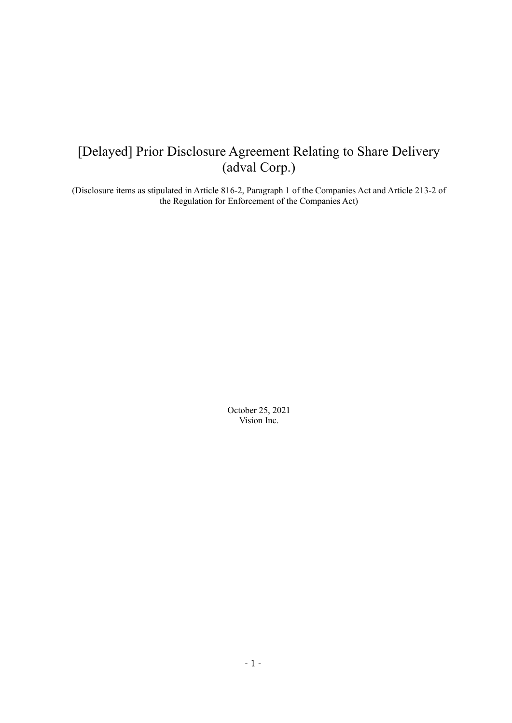# [Delayed] Prior Disclosure Agreement Relating to Share Delivery (adval Corp.)

(Disclosure items as stipulated in Article 816-2, Paragraph 1 of the Companies Act and Article 213-2 of the Regulation for Enforcement of the Companies Act)

> October 25, 2021 Vision Inc.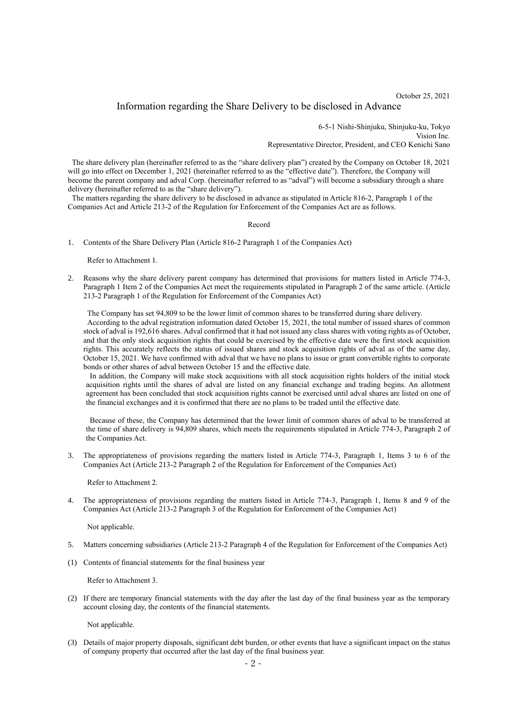October 25, 2021

## Information regarding the Share Delivery to be disclosed in Advance

6-5-1 Nishi-Shinjuku, Shinjuku-ku, Tokyo Vision Inc. Representative Director, President, and CEO Kenichi Sano

The share delivery plan (hereinafter referred to as the "share delivery plan") created by the Company on October 18, 2021 will go into effect on December 1, 2021 (hereinafter referred to as the "effective date"). Therefore, the Company will become the parent company and adval Corp. (hereinafter referred to as "adval") will become a subsidiary through a share delivery (hereinafter referred to as the "share delivery").

The matters regarding the share delivery to be disclosed in advance as stipulated in Article 816-2, Paragraph 1 of the Companies Act and Article 213-2 of the Regulation for Enforcement of the Companies Act are as follows.

#### Record

1. Contents of the Share Delivery Plan (Article 816-2 Paragraph 1 of the Companies Act)

Refer to Attachment 1.

2. Reasons why the share delivery parent company has determined that provisions for matters listed in Article 774-3, Paragraph 1 Item 2 of the Companies Act meet the requirements stipulated in Paragraph 2 of the same article. (Article 213-2 Paragraph 1 of the Regulation for Enforcement of the Companies Act)

The Company has set 94,809 to be the lower limit of common shares to be transferred during share delivery. According to the adval registration information dated October 15, 2021, the total number of issued shares of common stock of adval is 192,616 shares. Adval confirmed that it had not issued any class shares with voting rights as of October, and that the only stock acquisition rights that could be exercised by the effective date were the first stock acquisition rights. This accurately reflects the status of issued shares and stock acquisition rights of adval as of the same day, October 15, 2021. We have confirmed with adval that we have no plans to issue or grant convertible rights to corporate bonds or other shares of adval between October 15 and the effective date.

In addition, the Company will make stock acquisitions with all stock acquisition rights holders of the initial stock acquisition rights until the shares of adval are listed on any financial exchange and trading begins. An allotment agreement has been concluded that stock acquisition rights cannot be exercised until adval shares are listed on one of the financial exchanges and it is confirmed that there are no plans to be traded until the effective date.

Because of these, the Company has determined that the lower limit of common shares of adval to be transferred at the time of share delivery is 94,809 shares, which meets the requirements stipulated in Article 774-3, Paragraph 2 of the Companies Act.

3. The appropriateness of provisions regarding the matters listed in Article 774-3, Paragraph 1, Items 3 to 6 of the Companies Act (Article 213-2 Paragraph 2 of the Regulation for Enforcement of the Companies Act)

Refer to Attachment 2.

4. The appropriateness of provisions regarding the matters listed in Article 774-3, Paragraph 1, Items 8 and 9 of the Companies Act (Article 213-2 Paragraph 3 of the Regulation for Enforcement of the Companies Act)

Not applicable.

- 5. Matters concerning subsidiaries (Article 213-2 Paragraph 4 of the Regulation for Enforcement of the Companies Act)
- (1) Contents of financial statements for the final business year

Refer to Attachment 3.

(2) If there are temporary financial statements with the day after the last day of the final business year as the temporary account closing day, the contents of the financial statements.

Not applicable.

(3) Details of major property disposals, significant debt burden, or other events that have a significant impact on the status of company property that occurred after the last day of the final business year.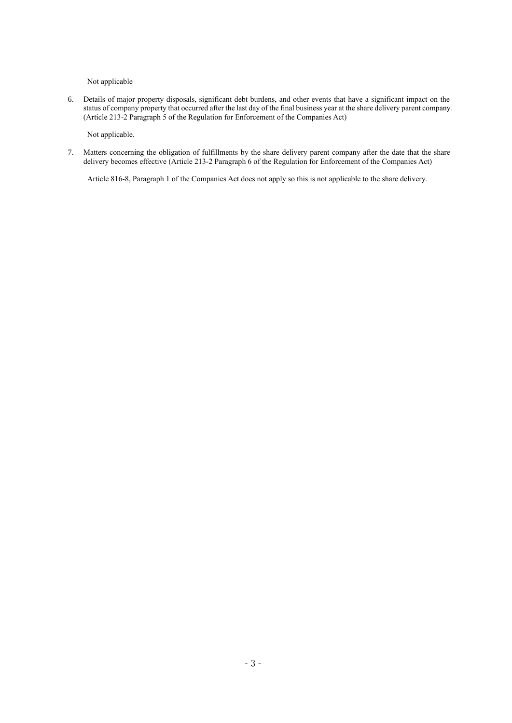Not applicable

6. Details of major property disposals, significant debt burdens, and other events that have a significant impact on the status of company property that occurred after the last day of the final business year at the share delivery parent company. (Article 213-2 Paragraph 5 of the Regulation for Enforcement of the Companies Act)

Not applicable.

7. Matters concerning the obligation of fulfillments by the share delivery parent company after the date that the share delivery becomes effective (Article 213-2 Paragraph 6 of the Regulation for Enforcement of the Companies Act)

Article 816-8, Paragraph 1 of the Companies Act does not apply so this is not applicable to the share delivery.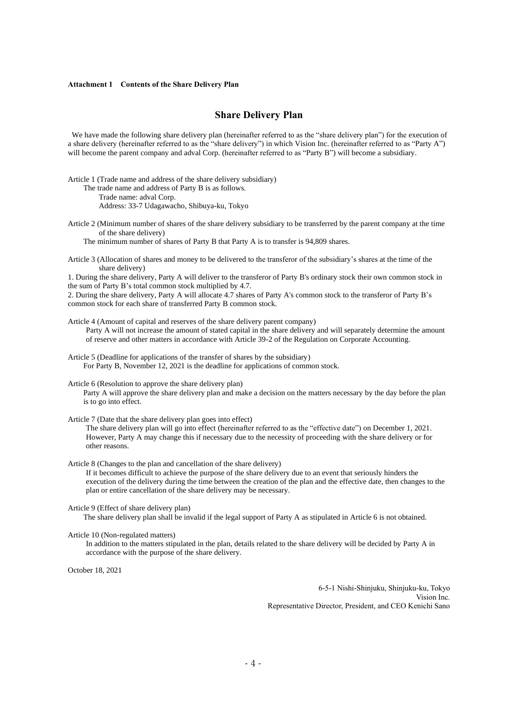#### **Attachment 1 Contents of the Share Delivery Plan**

## **Share Delivery Plan**

We have made the following share delivery plan (hereinafter referred to as the "share delivery plan") for the execution of a share delivery (hereinafter referred to as the "share delivery") in which Vision Inc. (hereinafter referred to as "Party A") will become the parent company and adval Corp. (hereinafter referred to as "Party B") will become a subsidiary.

Article 1 (Trade name and address of the share delivery subsidiary)

The trade name and address of Party B is as follows. Trade name: adval Corp. Address: 33-7 Udagawacho, Shibuya-ku, Tokyo

Article 2 (Minimum number of shares of the share delivery subsidiary to be transferred by the parent company at the time

of the share delivery) The minimum number of shares of Party B that Party A is to transfer is 94,809 shares.

Article 3 (Allocation of shares and money to be delivered to the transferor of the subsidiary's shares at the time of the share delivery)

1. During the share delivery, Party A will deliver to the transferor of Party B's ordinary stock their own common stock in the sum of Party B's total common stock multiplied by 4.7.

2. During the share delivery, Party A will allocate 4.7 shares of Party A's common stock to the transferor of Party B's common stock for each share of transferred Party B common stock.

Article 4 (Amount of capital and reserves of the share delivery parent company) Party A will not increase the amount of stated capital in the share delivery and will separately determine the amount of reserve and other matters in accordance with Article 39-2 of the Regulation on Corporate Accounting.

Article 5 (Deadline for applications of the transfer of shares by the subsidiary) For Party B, November 12, 2021 is the deadline for applications of common stock.

Article 6 (Resolution to approve the share delivery plan)

Party A will approve the share delivery plan and make a decision on the matters necessary by the day before the plan is to go into effect.

Article 7 (Date that the share delivery plan goes into effect)

The share delivery plan will go into effect (hereinafter referred to as the "effective date") on December 1, 2021. However, Party A may change this if necessary due to the necessity of proceeding with the share delivery or for other reasons.

Article 8 (Changes to the plan and cancellation of the share delivery)

If it becomes difficult to achieve the purpose of the share delivery due to an event that seriously hinders the execution of the delivery during the time between the creation of the plan and the effective date, then changes to the plan or entire cancellation of the share delivery may be necessary.

Article 9 (Effect of share delivery plan)

The share delivery plan shall be invalid if the legal support of Party A as stipulated in Article 6 is not obtained.

Article 10 (Non-regulated matters)

In addition to the matters stipulated in the plan, details related to the share delivery will be decided by Party A in accordance with the purpose of the share delivery.

October 18, 2021

6-5-1 Nishi-Shinjuku, Shinjuku-ku, Tokyo Vision Inc. Representative Director, President, and CEO Kenichi Sano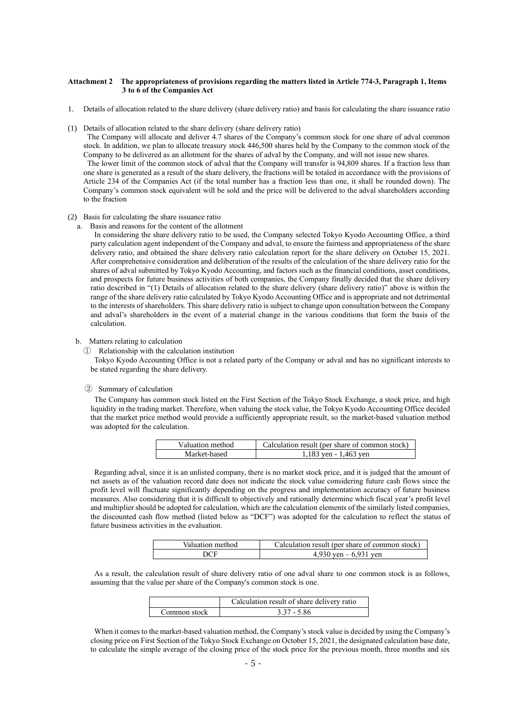### **Attachment 2 The appropriateness of provisions regarding the matters listed in Article 774-3, Paragraph 1, Items 3 to 6 of the Companies Act**

- 1. Details of allocation related to the share delivery (share delivery ratio) and basis for calculating the share issuance ratio
- (1) Details of allocation related to the share delivery (share delivery ratio)

The Company will allocate and deliver 4.7 shares of the Company's common stock for one share of adval common stock. In addition, we plan to allocate treasury stock 446,500 shares held by the Company to the common stock of the Company to be delivered as an allotment for the shares of adval by the Company, and will not issue new shares. The lower limit of the common stock of adval that the Company will transfer is 94,809 shares. If a fraction less than

one share is generated as a result of the share delivery, the fractions will be totaled in accordance with the provisions of Article 234 of the Companies Act (if the total number has a fraction less than one, it shall be rounded down). The Company's common stock equivalent will be sold and the price will be delivered to the adval shareholders according to the fraction

#### (2) Basis for calculating the share issuance ratio

a. Basis and reasons for the content of the allotment

In considering the share delivery ratio to be used, the Company selected Tokyo Kyodo Accounting Office, a third party calculation agent independent of the Company and adval, to ensure the fairness and appropriateness of the share delivery ratio, and obtained the share delivery ratio calculation report for the share delivery on October 15, 2021. After comprehensive consideration and deliberation of the results of the calculation of the share delivery ratio for the shares of adval submitted by Tokyo Kyodo Accounting, and factors such as the financial conditions, asset conditions, and prospects for future business activities of both companies, the Company finally decided that the share delivery ratio described in "(1) Details of allocation related to the share delivery (share delivery ratio)" above is within the range of the share delivery ratio calculated by Tokyo Kyodo Accounting Office and is appropriate and not detrimental to the interests of shareholders. This share delivery ratio is subject to change upon consultation between the Company and adval's shareholders in the event of a material change in the various conditions that form the basis of the calculation.

#### b. Matters relating to calculation

① Relationship with the calculation institution

Tokyo Kyodo Accounting Office is not a related party of the Company or adval and has no significant interests to be stated regarding the share delivery.

## ② Summary of calculation

The Company has common stock listed on the First Section of the Tokyo Stock Exchange, a stock price, and high liquidity in the trading market. Therefore, when valuing the stock value, the Tokyo Kyodo Accounting Office decided that the market price method would provide a sufficiently appropriate result, so the market-based valuation method was adopted for the calculation.

| Valuation method | Calculation result (per share of common stock) |
|------------------|------------------------------------------------|
| Market-based     | 1,183 yen - 1,463 yen                          |

Regarding adval, since it is an unlisted company, there is no market stock price, and it is judged that the amount of net assets as of the valuation record date does not indicate the stock value considering future cash flows since the profit level will fluctuate significantly depending on the progress and implementation accuracy of future business measures. Also considering that it is difficult to objectively and rationally determine which fiscal year's profit level and multiplier should be adopted for calculation, which are the calculation elements of the similarly listed companies, the discounted cash flow method (listed below as "DCF") was adopted for the calculation to reflect the status of future business activities in the evaluation.

| Valuation method | Calculation result (per share of common stock) |
|------------------|------------------------------------------------|
|                  | 4,930 yen $-6,931$ yen                         |

As a result, the calculation result of share delivery ratio of one adval share to one common stock is as follows, assuming that the value per share of the Company's common stock is one.

|              | Calculation result of share delivery ratio |
|--------------|--------------------------------------------|
| Common stock | $3.37 - 5.86$                              |

When it comes to the market-based valuation method, the Company's stock value is decided by using the Company's closing price on First Section of the Tokyo Stock Exchange on October 15, 2021, the designated calculation base date, to calculate the simple average of the closing price of the stock price for the previous month, three months and six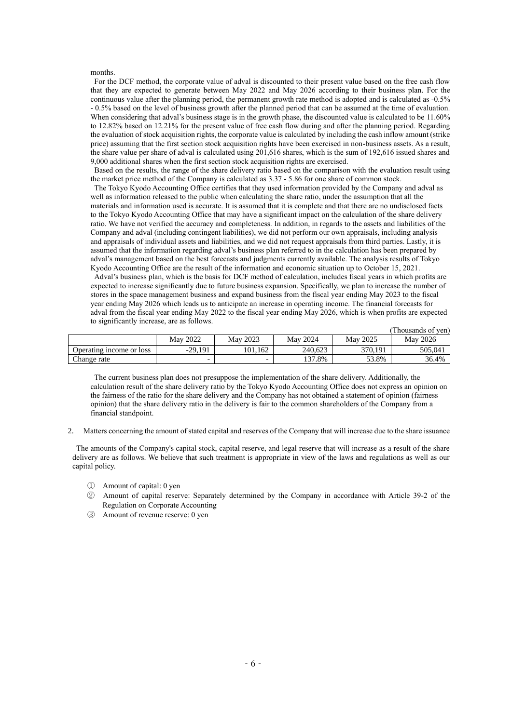#### months.

For the DCF method, the corporate value of adval is discounted to their present value based on the free cash flow that they are expected to generate between May 2022 and May 2026 according to their business plan. For the continuous value after the planning period, the permanent growth rate method is adopted and is calculated as -0.5% - 0.5% based on the level of business growth after the planned period that can be assumed at the time of evaluation. When considering that adval's business stage is in the growth phase, the discounted value is calculated to be 11.60% to 12.82% based on 12.21% for the present value of free cash flow during and after the planning period. Regarding the evaluation of stock acquisition rights, the corporate value is calculated by including the cash inflow amount (strike price) assuming that the first section stock acquisition rights have been exercised in non-business assets. As a result, the share value per share of adval is calculated using 201,616 shares, which is the sum of 192,616 issued shares and 9,000 additional shares when the first section stock acquisition rights are exercised.

Based on the results, the range of the share delivery ratio based on the comparison with the evaluation result using the market price method of the Company is calculated as 3.37 - 5.86 for one share of common stock.

The Tokyo Kyodo Accounting Office certifies that they used information provided by the Company and adval as well as information released to the public when calculating the share ratio, under the assumption that all the materials and information used is accurate. It is assumed that it is complete and that there are no undisclosed facts to the Tokyo Kyodo Accounting Office that may have a significant impact on the calculation of the share delivery ratio. We have not verified the accuracy and completeness. In addition, in regards to the assets and liabilities of the Company and adval (including contingent liabilities), we did not perform our own appraisals, including analysis and appraisals of individual assets and liabilities, and we did not request appraisals from third parties. Lastly, it is assumed that the information regarding adval's business plan referred to in the calculation has been prepared by adval's management based on the best forecasts and judgments currently available. The analysis results of Tokyo Kyodo Accounting Office are the result of the information and economic situation up to October 15, 2021.

Adval's business plan, which is the basis for DCF method of calculation, includes fiscal years in which profits are expected to increase significantly due to future business expansion. Specifically, we plan to increase the number of stores in the space management business and expand business from the fiscal year ending May 2023 to the fiscal year ending May 2026 which leads us to anticipate an increase in operating income. The financial forecasts for adval from the fiscal year ending May 2022 to the fiscal year ending May 2026, which is when profits are expected to significantly increase, are as follows.

|                          |                 |          |          |          | (Thousands of ven) |
|--------------------------|-----------------|----------|----------|----------|--------------------|
|                          | <b>May 2022</b> | May 2023 | May 2024 | May 2025 | May 2026           |
| Operating income or loss | $-29.191$       | 101.162  | 240.623  | 370.191  | 505.04             |
| Change rate              |                 |          | 137.8%   | 53.8%    | 36.4%              |

The current business plan does not presuppose the implementation of the share delivery. Additionally, the calculation result of the share delivery ratio by the Tokyo Kyodo Accounting Office does not express an opinion on the fairness of the ratio for the share delivery and the Company has not obtained a statement of opinion (fairness opinion) that the share delivery ratio in the delivery is fair to the common shareholders of the Company from a financial standpoint.

2. Matters concerning the amount of stated capital and reserves of the Company that will increase due to the share issuance

The amounts of the Company's capital stock, capital reserve, and legal reserve that will increase as a result of the share delivery are as follows. We believe that such treatment is appropriate in view of the laws and regulations as well as our capital policy.

- ① Amount of capital: 0 yen
- ② Amount of capital reserve: Separately determined by the Company in accordance with Article 39-2 of the Regulation on Corporate Accounting
- ③ Amount of revenue reserve: 0 yen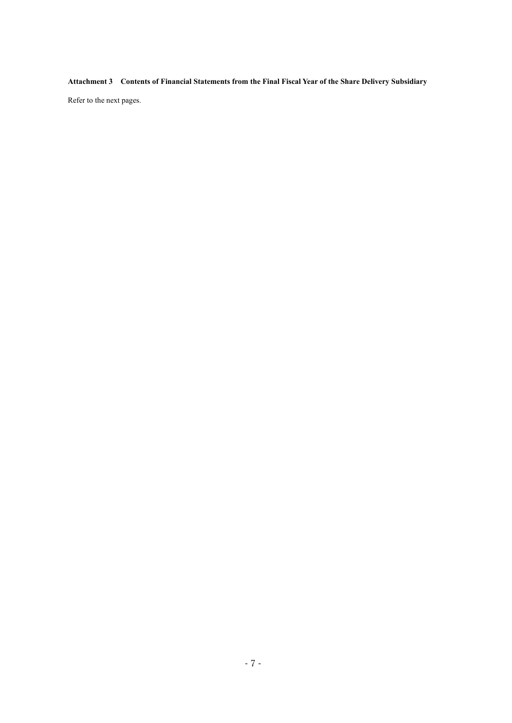**Attachment 3 Contents of Financial Statements from the Final Fiscal Year of the Share Delivery Subsidiary**

Refer to the next pages.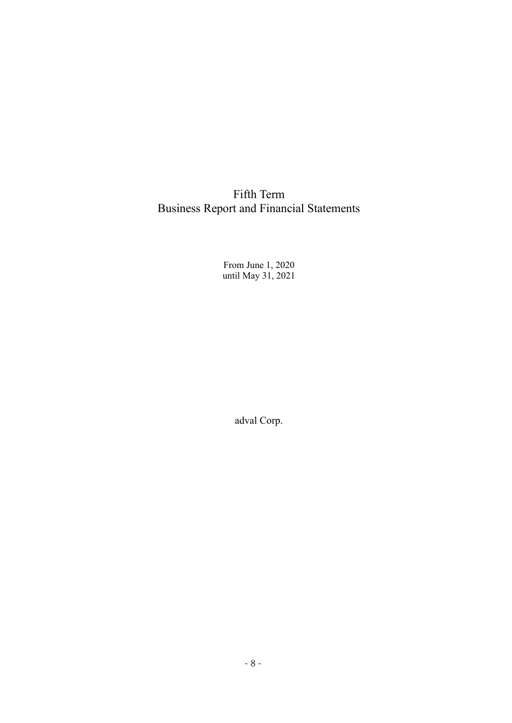Fifth Term Business Report and Financial Statements

> From June 1, 2020 until May 31, 2021

> > adval Corp.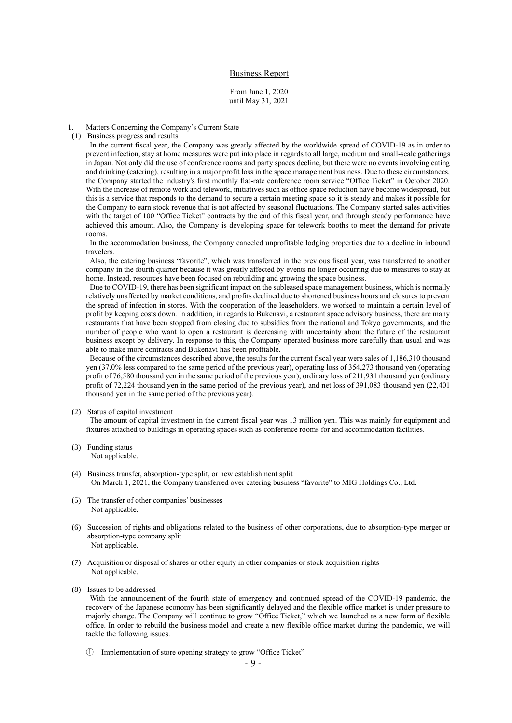## Business Report

From June 1, 2020 until May 31, 2021

### Matters Concerning the Company's Current State

(1) Business progress and results

In the current fiscal year, the Company was greatly affected by the worldwide spread of COVID-19 as in order to prevent infection, stay at home measures were put into place in regards to all large, medium and small-scale gatherings in Japan. Not only did the use of conference rooms and party spaces decline, but there were no events involving eating and drinking (catering), resulting in a major profit loss in the space management business. Due to these circumstances, the Company started the industry's first monthly flat-rate conference room service "Office Ticket" in October 2020. With the increase of remote work and telework, initiatives such as office space reduction have become widespread, but this is a service that responds to the demand to secure a certain meeting space so it is steady and makes it possible for the Company to earn stock revenue that is not affected by seasonal fluctuations. The Company started sales activities with the target of 100 "Office Ticket" contracts by the end of this fiscal year, and through steady performance have achieved this amount. Also, the Company is developing space for telework booths to meet the demand for private rooms.

In the accommodation business, the Company canceled unprofitable lodging properties due to a decline in inbound travelers.

Also, the catering business "favorite", which was transferred in the previous fiscal year, was transferred to another company in the fourth quarter because it was greatly affected by events no longer occurring due to measures to stay at home. Instead, resources have been focused on rebuilding and growing the space business.

Due to COVID-19, there has been significant impact on the subleased space management business, which is normally relatively unaffected by market conditions, and profits declined due to shortened business hours and closures to prevent the spread of infection in stores. With the cooperation of the leaseholders, we worked to maintain a certain level of profit by keeping costs down. In addition, in regards to Bukenavi, a restaurant space advisory business, there are many restaurants that have been stopped from closing due to subsidies from the national and Tokyo governments, and the number of people who want to open a restaurant is decreasing with uncertainty about the future of the restaurant business except by delivery. In response to this, the Company operated business more carefully than usual and was able to make more contracts and Bukenavi has been profitable.

Because of the circumstances described above, the results for the current fiscal year were sales of 1,186,310 thousand yen (37.0% less compared to the same period of the previous year), operating loss of 354,273 thousand yen (operating profit of 76,580 thousand yen in the same period of the previous year), ordinary loss of 211,931 thousand yen (ordinary profit of 72,224 thousand yen in the same period of the previous year), and net loss of 391,083 thousand yen (22,401 thousand yen in the same period of the previous year).

#### (2) Status of capital investment

The amount of capital investment in the current fiscal year was 13 million yen. This was mainly for equipment and fixtures attached to buildings in operating spaces such as conference rooms for and accommodation facilities.

- (3) Funding status Not applicable.
- (4) Business transfer, absorption-type split, or new establishment split On March 1, 2021, the Company transferred over catering business "favorite" to MIG Holdings Co., Ltd.
- (5) The transfer of other companies' businesses Not applicable.
- (6) Succession of rights and obligations related to the business of other corporations, due to absorption-type merger or absorption-type company split Not applicable.
- (7) Acquisition or disposal of shares or other equity in other companies or stock acquisition rights Not applicable.
- (8) Issues to be addressed

With the announcement of the fourth state of emergency and continued spread of the COVID-19 pandemic, the recovery of the Japanese economy has been significantly delayed and the flexible office market is under pressure to majorly change. The Company will continue to grow "Office Ticket," which we launched as a new form of flexible office. In order to rebuild the business model and create a new flexible office market during the pandemic, we will tackle the following issues.

① Implementation of store opening strategy to grow "Office Ticket"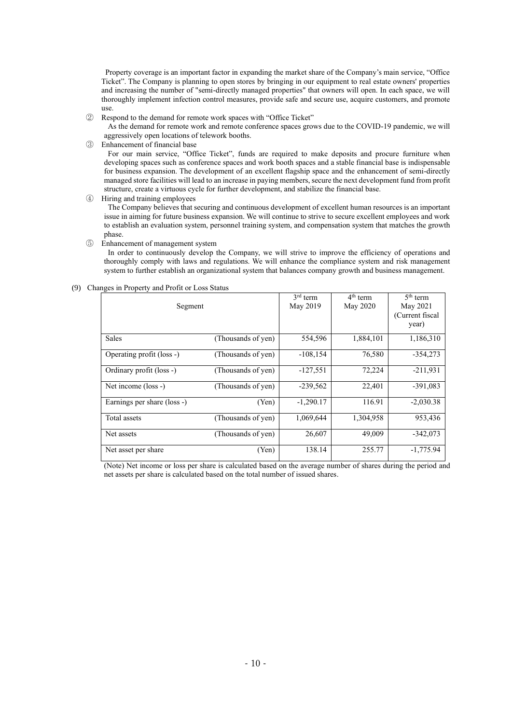Property coverage is an important factor in expanding the market share of the Company's main service, "Office Ticket". The Company is planning to open stores by bringing in our equipment to real estate owners' properties and increasing the number of "semi-directly managed properties" that owners will open. In each space, we will thoroughly implement infection control measures, provide safe and secure use, acquire customers, and promote use.

② Respond to the demand for remote work spaces with "Office Ticket"

As the demand for remote work and remote conference spaces grows due to the COVID-19 pandemic, we will aggressively open locations of telework booths.

③ Enhancement of financial base

For our main service, "Office Ticket", funds are required to make deposits and procure furniture when developing spaces such as conference spaces and work booth spaces and a stable financial base is indispensable for business expansion. The development of an excellent flagship space and the enhancement of semi-directly managed store facilities will lead to an increase in paying members, secure the next development fund from profit structure, create a virtuous cycle for further development, and stabilize the financial base.

④ Hiring and training employees

The Company believes that securing and continuous development of excellent human resources is an important issue in aiming for future business expansion. We will continue to strive to secure excellent employees and work to establish an evaluation system, personnel training system, and compensation system that matches the growth phase.

#### ⑤ Enhancement of management system

In order to continuously develop the Company, we will strive to improve the efficiency of operations and thoroughly comply with laws and regulations. We will enhance the compliance system and risk management system to further establish an organizational system that balances company growth and business management.

|  |  | (9) Changes in Property and Profit or Loss Status |
|--|--|---------------------------------------------------|
|  |  |                                                   |

| Segment                     |                    | $3rd$ term<br>May 2019 | $4th$ term<br>May 2020 | $5th$ term<br>May 2021<br>Current fiscal<br>year) |
|-----------------------------|--------------------|------------------------|------------------------|---------------------------------------------------|
| <b>Sales</b>                | (Thousands of yen) | 554,596                | 1,884,101              | 1,186,310                                         |
| Operating profit (loss -)   | (Thousands of yen) | $-108, 154$            | 76,580                 | $-354,273$                                        |
| Ordinary profit (loss -)    | (Thousands of yen) | $-127,551$             | 72,224                 | $-211,931$                                        |
| Net income (loss -)         | (Thousands of yen) | $-239,562$             | 22,401                 | $-391,083$                                        |
| Earnings per share (loss -) | (Yen)              | $-1,290.17$            | 116.91                 | $-2,030.38$                                       |
| Total assets                | (Thousands of yen) | 1,069,644              | 1,304,958              | 953,436                                           |
| Net assets                  | (Thousands of yen) | 26,607                 | 49,009                 | $-342,073$                                        |
| Net asset per share         | (Yen)              | 138.14                 | 255.77                 | $-1,775.94$                                       |

(Note) Net income or loss per share is calculated based on the average number of shares during the period and net assets per share is calculated based on the total number of issued shares.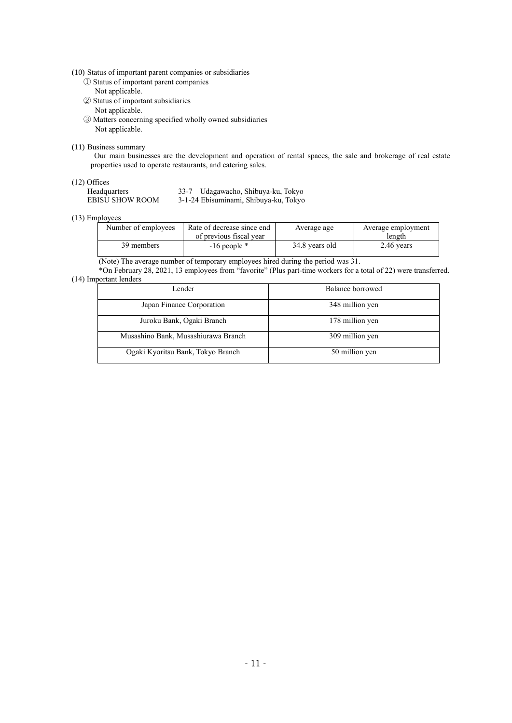## (10) Status of important parent companies or subsidiaries

- ① Status of important parent companies Not applicable.
- ② Status of important subsidiaries Not applicable.
- ③ Matters concerning specified wholly owned subsidiaries Not applicable.

## (11) Business summary

Our main businesses are the development and operation of rental spaces, the sale and brokerage of real estate properties used to operate restaurants, and catering sales.

## (12) Offices

| Headquarters    | 33-7 Udagawacho, Shibuya-ku, Tokyo    |
|-----------------|---------------------------------------|
| EBISU SHOW ROOM | 3-1-24 Ebisuminami, Shibuya-ku, Tokyo |

## (13) Employees

| Rate of decrease since end | Average age    | Average employment |  |
|----------------------------|----------------|--------------------|--|
| of previous fiscal year    |                | length             |  |
| $-16$ people $*$           | 34.8 years old | 2.46 years         |  |
|                            |                |                    |  |

(Note) The average number of temporary employees hired during the period was 31.

\*On February 28, 2021, 13 employees from "favorite" (Plus part-time workers for a total of 22) were transferred. (14) Important lenders

| Lender                              | Balance borrowed |
|-------------------------------------|------------------|
| Japan Finance Corporation           | 348 million yen  |
| Juroku Bank, Ogaki Branch           | 178 million yen  |
| Musashino Bank, Musashiurawa Branch | 309 million yen  |
| Ogaki Kyoritsu Bank, Tokyo Branch   | 50 million yen   |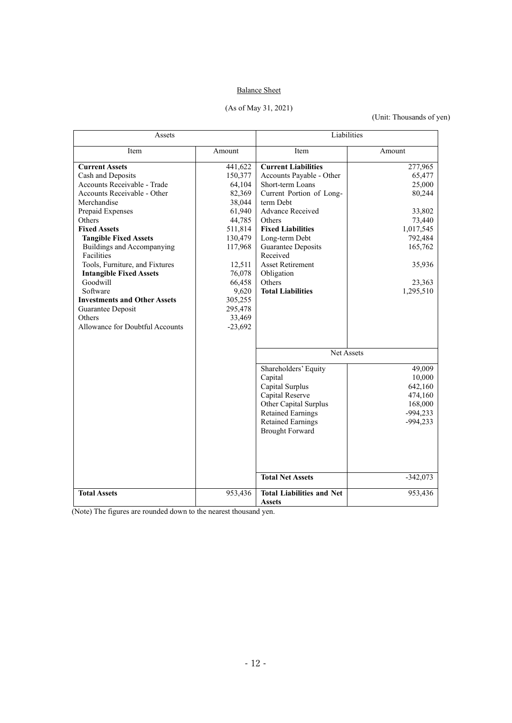# Balance Sheet

(As of May 31, 2021)

# (Unit: Thousands of yen)

| Assets                              |           | Liabilities                      |            |
|-------------------------------------|-----------|----------------------------------|------------|
| Item                                | Amount    | Item                             | Amount     |
| <b>Current Assets</b>               | 441,622   | <b>Current Liabilities</b>       | 277,965    |
| Cash and Deposits                   | 150,377   | Accounts Payable - Other         | 65,477     |
| Accounts Receivable - Trade         | 64,104    | Short-term Loans                 | 25,000     |
| Accounts Receivable - Other         | 82,369    | Current Portion of Long-         | 80,244     |
| Merchandise                         | 38,044    | term Debt                        |            |
| Prepaid Expenses                    | 61,940    | <b>Advance Received</b>          | 33,802     |
| <b>Others</b>                       | 44,785    | Others                           | 73,440     |
| <b>Fixed Assets</b>                 | 511,814   | <b>Fixed Liabilities</b>         | 1,017,545  |
| <b>Tangible Fixed Assets</b>        | 130,479   | Long-term Debt                   | 792,484    |
| Buildings and Accompanying          | 117,968   | Guarantee Deposits               | 165,762    |
| Facilities                          |           | Received                         |            |
| Tools, Furniture, and Fixtures      | 12,511    | <b>Asset Retirement</b>          | 35,936     |
| <b>Intangible Fixed Assets</b>      | 76,078    | Obligation                       |            |
| Goodwill                            | 66,458    | Others                           | 23,363     |
| Software                            | 9,620     | <b>Total Liabilities</b>         | 1,295,510  |
| <b>Investments and Other Assets</b> | 305,255   |                                  |            |
| Guarantee Deposit                   | 295,478   |                                  |            |
| Others                              | 33,469    |                                  |            |
| Allowance for Doubtful Accounts     | $-23,692$ |                                  |            |
|                                     |           | Net Assets                       |            |
|                                     |           | Shareholders' Equity             | 49,009     |
|                                     |           | Capital                          | 10,000     |
|                                     |           | Capital Surplus                  | 642,160    |
|                                     |           | Capital Reserve                  | 474,160    |
|                                     |           | Other Capital Surplus            | 168,000    |
|                                     |           | <b>Retained Earnings</b>         | $-994,233$ |
|                                     |           | <b>Retained Earnings</b>         | $-994,233$ |
|                                     |           | <b>Brought Forward</b>           |            |
|                                     |           |                                  |            |
|                                     |           |                                  |            |
|                                     |           |                                  |            |
|                                     |           | <b>Total Net Assets</b>          | $-342,073$ |
| <b>Total Assets</b>                 | 953,436   | <b>Total Liabilities and Net</b> | 953,436    |
|                                     |           | <b>Assets</b>                    |            |

(Note) The figures are rounded down to the nearest thousand yen.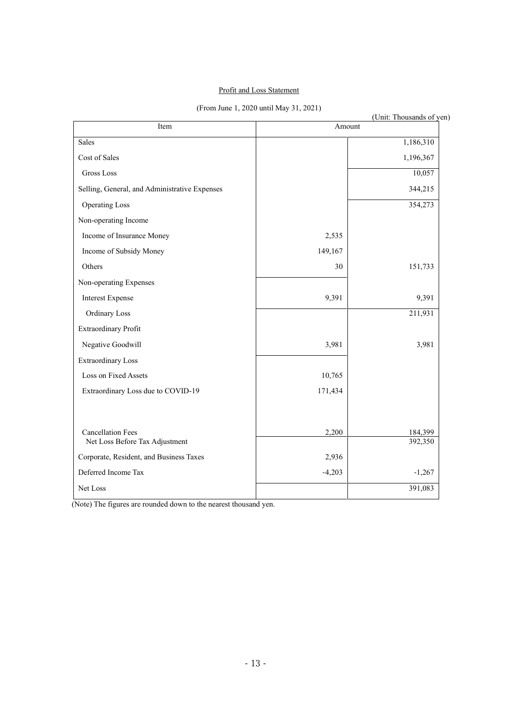# Profit and Loss Statement

(From June 1, 2020 until May 31, 2021)

|                                               |          | (Unit: Thousands of yen) |
|-----------------------------------------------|----------|--------------------------|
| Item                                          | Amount   |                          |
| Sales                                         |          | 1,186,310                |
| Cost of Sales                                 |          | 1,196,367                |
| <b>Gross Loss</b>                             |          | 10,057                   |
| Selling, General, and Administrative Expenses |          | 344,215                  |
| <b>Operating Loss</b>                         |          | 354,273                  |
| Non-operating Income                          |          |                          |
| Income of Insurance Money                     | 2,535    |                          |
| Income of Subsidy Money                       | 149,167  |                          |
| Others                                        | 30       | 151,733                  |
| Non-operating Expenses                        |          |                          |
| <b>Interest Expense</b>                       | 9,391    | 9,391                    |
| Ordinary Loss                                 |          | 211,931                  |
| Extraordinary Profit                          |          |                          |
| Negative Goodwill                             | 3,981    | 3,981                    |
| <b>Extraordinary Loss</b>                     |          |                          |
| Loss on Fixed Assets                          | 10,765   |                          |
| Extraordinary Loss due to COVID-19            | 171,434  |                          |
| <b>Cancellation Fees</b>                      | 2,200    | 184,399                  |
| Net Loss Before Tax Adjustment                |          | 392,350                  |
| Corporate, Resident, and Business Taxes       | 2,936    |                          |
| Deferred Income Tax                           | $-4,203$ | $-1,267$                 |
| Net Loss                                      |          | 391,083                  |
|                                               |          |                          |

(Note) The figures are rounded down to the nearest thousand yen.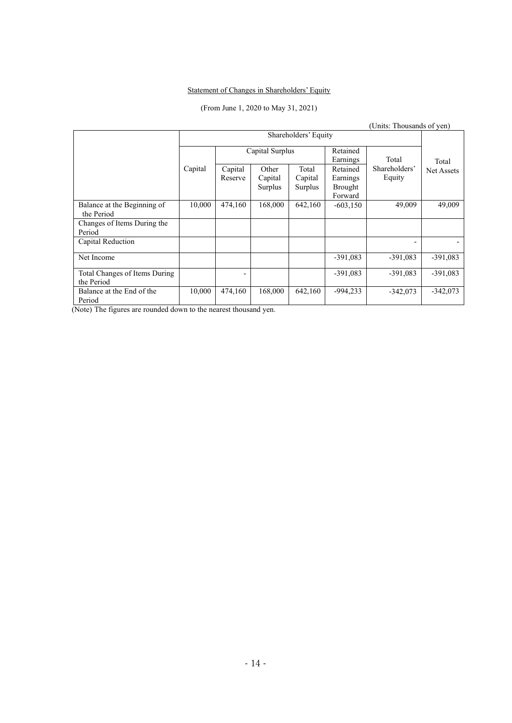# Statement of Changes in Shareholders' Equity

# (From June 1, 2020 to May 31, 2021)

|                                             |                      |                    |                             |                             |                                                   | (Units: Thousands of yen) |            |
|---------------------------------------------|----------------------|--------------------|-----------------------------|-----------------------------|---------------------------------------------------|---------------------------|------------|
|                                             | Shareholders' Equity |                    |                             |                             |                                                   |                           |            |
|                                             |                      |                    | Capital Surplus             |                             | Retained<br>Earnings                              | Total                     | Total      |
|                                             | Capital              | Capital<br>Reserve | Other<br>Capital<br>Surplus | Total<br>Capital<br>Surplus | Retained<br>Earnings<br><b>Brought</b><br>Forward | Shareholders'<br>Equity   | Net Assets |
| Balance at the Beginning of<br>the Period   | 10,000               | 474,160            | 168,000                     | 642,160                     | $-603,150$                                        | 49,009                    | 49,009     |
| Changes of Items During the<br>Period       |                      |                    |                             |                             |                                                   |                           |            |
| Capital Reduction                           |                      |                    |                             |                             |                                                   |                           |            |
| Net Income                                  |                      |                    |                             |                             | $-391,083$                                        | $-391,083$                | $-391,083$ |
| Total Changes of Items During<br>the Period |                      |                    |                             |                             | $-391.083$                                        | $-391,083$                | $-391,083$ |
| Balance at the End of the<br>Period         | 10,000               | 474,160            | 168,000                     | 642,160                     | $-994,233$                                        | $-342,073$                | $-342,073$ |

(Note) The figures are rounded down to the nearest thousand yen.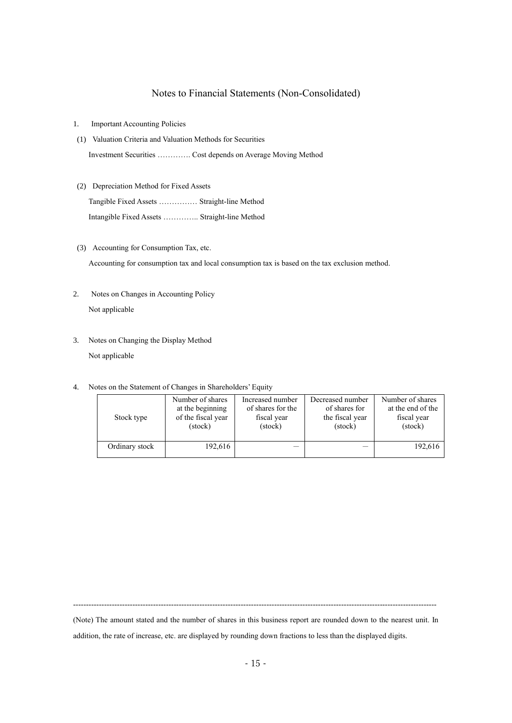# Notes to Financial Statements (Non-Consolidated)

- 1. Important Accounting Policies
- (1) Valuation Criteria and Valuation Methods for Securities Investment Securities …………. Cost depends on Average Moving Method
- (2) Depreciation Method for Fixed Assets

Tangible Fixed Assets …………… Straight-line Method Intangible Fixed Assets ………….. Straight-line Method

(3) Accounting for Consumption Tax, etc.

Accounting for consumption tax and local consumption tax is based on the tax exclusion method.

- 2. Notes on Changes in Accounting Policy Not applicable
- 3. Notes on Changing the Display Method Not applicable
- 4. Notes on the Statement of Changes in Shareholders' Equity

| Stock type     | Number of shares   | Increased number  | Decreased number | Number of shares  |
|----------------|--------------------|-------------------|------------------|-------------------|
|                | at the beginning   | of shares for the | of shares for    | at the end of the |
|                | of the fiscal year | fiscal year       | the fiscal year  | fiscal year       |
|                | (stock)            | (stock)           | (stock)          | (stock)           |
| Ordinary stock | 192,616            |                   |                  | 192,616           |

---------------------------------------------------------------------------------------------------------------------------------------------

(Note) The amount stated and the number of shares in this business report are rounded down to the nearest unit. In addition, the rate of increase, etc. are displayed by rounding down fractions to less than the displayed digits.